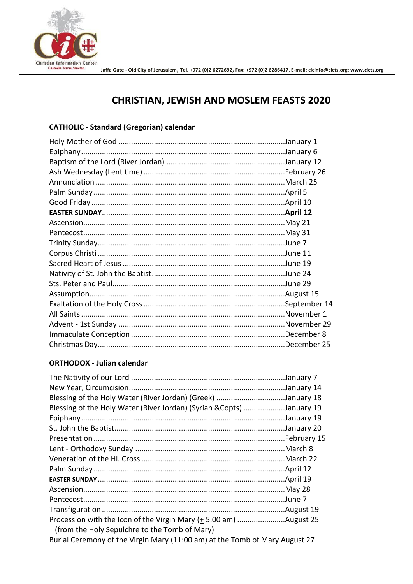

# **CHRISTIAN, JEWISH AND MOSLEM FEASTS 2020**

### **CATHOLIC - Standard (Gregorian) calendar**

#### **ORTHODOX - Julian calendar**

| Blessing of the Holy Water (River Jordan) (Greek) January 18                |  |
|-----------------------------------------------------------------------------|--|
| Blessing of the Holy Water (River Jordan) (Syrian &Copts) January 19        |  |
|                                                                             |  |
|                                                                             |  |
|                                                                             |  |
|                                                                             |  |
|                                                                             |  |
|                                                                             |  |
|                                                                             |  |
|                                                                             |  |
|                                                                             |  |
|                                                                             |  |
| Procession with the Icon of the Virgin Mary (+ 5:00 am) August 25           |  |
| (from the Holy Sepulchre to the Tomb of Mary)                               |  |
| Burial Ceremony of the Virgin Mary (11:00 am) at the Tomb of Mary August 27 |  |